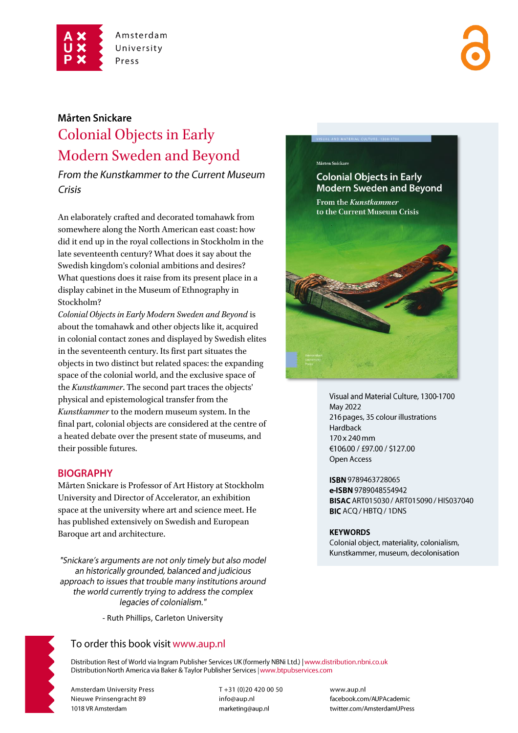

# Mårten Snickare

# Colonial Objects in Early Modern Sweden and Beyond

From the Kunstkammer to the Current Museum Crisis

An elaborately crafted and decorated tomahawk from somewhere along the North American east coast: how did it end up in the royal collections in Stockholm in the late seventeenth century? What does it say about the Swedish kingdom's colonial ambitions and desires? What questions does it raise from its present place in a display cabinet in the Museum of Ethnography in Stockholm?

*Colonial Objects in Early Modern Sweden and Beyond* is about the tomahawk and other objects like it, acquired in colonial contact zones and displayed by Swedish elites in the seventeenth century. Its first part situates the objects in two distinct but related spaces: the expanding space of the colonial world, and the exclusive space of the *Kunstkammer*. The second part traces the objects' physical and epistemological transfer from the *Kunstkammer* to the modern museum system. In the final part, colonial objects are considered at the centre of a heated debate over the present state of museums, and their possible futures.

# **BIOGRAPHY**

Mårten Snickare is Professor of Art History at Stockholm University and Director of Accelerator, an exhibition space at the university where art and science meet. He has published extensively on Swedish and European Baroque art and architecture.

"Snickare's arguments are not only timely but also model an historically grounded, balanced and judicious approach to issues that trouble many institutions around the world currently trying to address the complex legacies of colonialism."

- Ruth Phillips, Carleton University

# To order this book visit www.aup.nl

Distribution Rest of World via Ingram Publisher Services UK (formerly NBNi Ltd.) | www.distribution.nbni.co.uk Distribution North America via Baker & Taylor Publisher Services | www.btpubservices.com

**Amsterdam University Press** Nieuwe Prinsengracht 89 1018 VR Amsterdam

T+31 (0)20 420 00 50 info@aup.nl marketing@aup.nl





Visual and Material Culture, 1300-1700 May 2022 216 pages, 35 colour illustrations Hardback 170 x 240 mm €106.00 / £97.00 / \$127.00 Open Access

ISBN 9789463728065 e-ISBN 9789048554942 **BISAC ART015030 / ART015090 / HIS037040 BIC** ACO / HBTO / 1DNS

#### **KEYWORDS**

Colonial object, materiality, colonialism, Kunstkammer, museum, decolonisation